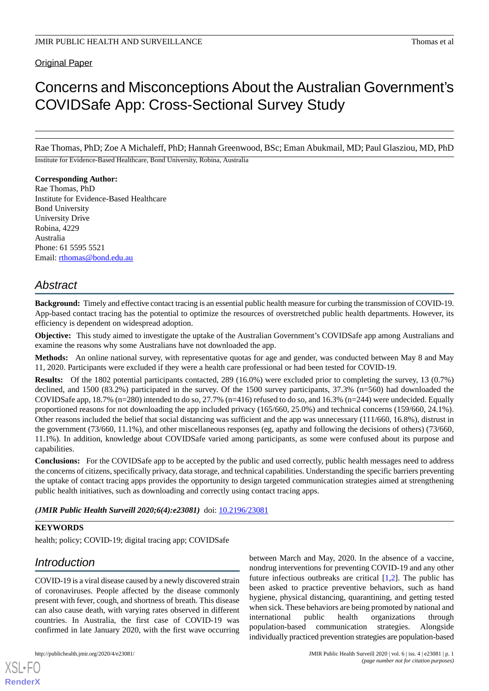## **Original Paper**

# Concerns and Misconceptions About the Australian Government's COVIDSafe App: Cross-Sectional Survey Study

Rae Thomas, PhD; Zoe A Michaleff, PhD; Hannah Greenwood, BSc; Eman Abukmail, MD; Paul Glasziou, MD, PhD Institute for Evidence-Based Healthcare, Bond University, Robina, Australia

## **Corresponding Author:**

Rae Thomas, PhD Institute for Evidence-Based Healthcare Bond University University Drive Robina, 4229 Australia Phone: 61 5595 5521 Email: [rthomas@bond.edu.au](mailto:rthomas@bond.edu.au)

## *Abstract*

**Background:** Timely and effective contact tracing is an essential public health measure for curbing the transmission of COVID-19. App-based contact tracing has the potential to optimize the resources of overstretched public health departments. However, its efficiency is dependent on widespread adoption.

**Objective:** This study aimed to investigate the uptake of the Australian Government's COVIDSafe app among Australians and examine the reasons why some Australians have not downloaded the app.

**Methods:** An online national survey, with representative quotas for age and gender, was conducted between May 8 and May 11, 2020. Participants were excluded if they were a health care professional or had been tested for COVID-19.

**Results:** Of the 1802 potential participants contacted, 289 (16.0%) were excluded prior to completing the survey, 13 (0.7%) declined, and 1500 (83.2%) participated in the survey. Of the 1500 survey participants, 37.3% (n=560) had downloaded the COVIDSafe app, 18.7% (n=280) intended to do so, 27.7% (n=416) refused to do so, and 16.3% (n=244) were undecided. Equally proportioned reasons for not downloading the app included privacy (165/660, 25.0%) and technical concerns (159/660, 24.1%). Other reasons included the belief that social distancing was sufficient and the app was unnecessary (111/660, 16.8%), distrust in the government (73/660, 11.1%), and other miscellaneous responses (eg, apathy and following the decisions of others) (73/660, 11.1%). In addition, knowledge about COVIDSafe varied among participants, as some were confused about its purpose and capabilities.

**Conclusions:** For the COVIDSafe app to be accepted by the public and used correctly, public health messages need to address the concerns of citizens, specifically privacy, data storage, and technical capabilities. Understanding the specific barriers preventing the uptake of contact tracing apps provides the opportunity to design targeted communication strategies aimed at strengthening public health initiatives, such as downloading and correctly using contact tracing apps.

*(JMIR Public Health Surveill 2020;6(4):e23081)* doi:  $10.2196/23081$ 

## **KEYWORDS**

health; policy; COVID-19; digital tracing app; COVIDSafe

## *Introduction*

[XSL](http://www.w3.org/Style/XSL)•FO **[RenderX](http://www.renderx.com/)**

COVID-19 is a viral disease caused by a newly discovered strain of coronaviruses. People affected by the disease commonly present with fever, cough, and shortness of breath. This disease can also cause death, with varying rates observed in different countries. In Australia, the first case of COVID-19 was confirmed in late January 2020, with the first wave occurring

between March and May, 2020. In the absence of a vaccine, nondrug interventions for preventing COVID-19 and any other future infectious outbreaks are critical [[1](#page-5-0)[,2](#page-5-1)]. The public has been asked to practice preventive behaviors, such as hand hygiene, physical distancing, quarantining, and getting tested when sick. These behaviors are being promoted by national and international public health organizations through population-based communication strategies. Alongside individually practiced prevention strategies are population-based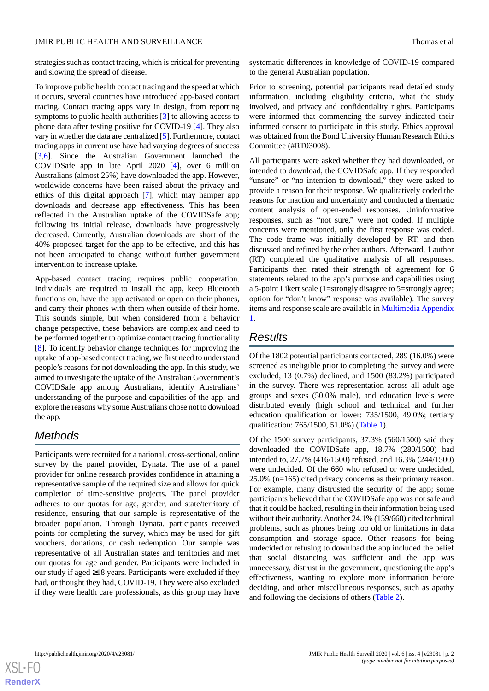strategies such as contact tracing, which is critical for preventing and slowing the spread of disease.

To improve public health contact tracing and the speed at which it occurs, several countries have introduced app-based contact tracing. Contact tracing apps vary in design, from reporting symptoms to public health authorities [\[3](#page-5-2)] to allowing access to phone data after testing positive for COVID-19 [[4\]](#page-5-3). They also vary in whether the data are centralized [\[5\]](#page-5-4). Furthermore, contact tracing apps in current use have had varying degrees of success [[3](#page-5-2)[,6](#page-5-5)]. Since the Australian Government launched the COVIDSafe app in late April 2020 [\[4\]](#page-5-3), over 6 million Australians (almost 25%) have downloaded the app. However, worldwide concerns have been raised about the privacy and ethics of this digital approach [[7\]](#page-5-6), which may hamper app downloads and decrease app effectiveness. This has been reflected in the Australian uptake of the COVIDSafe app; following its initial release, downloads have progressively decreased. Currently, Australian downloads are short of the 40% proposed target for the app to be effective, and this has not been anticipated to change without further government intervention to increase uptake.

App-based contact tracing requires public cooperation. Individuals are required to install the app, keep Bluetooth functions on, have the app activated or open on their phones, and carry their phones with them when outside of their home. This sounds simple, but when considered from a behavior change perspective, these behaviors are complex and need to be performed together to optimize contact tracing functionality [[8\]](#page-5-7). To identify behavior change techniques for improving the uptake of app-based contact tracing, we first need to understand people's reasons for not downloading the app. In this study, we aimed to investigate the uptake of the Australian Government's COVIDSafe app among Australians, identify Australians' understanding of the purpose and capabilities of the app, and explore the reasons why some Australians chose not to download the app.

## *Methods*

Participants were recruited for a national, cross-sectional, online survey by the panel provider, Dynata. The use of a panel provider for online research provides confidence in attaining a representative sample of the required size and allows for quick completion of time-sensitive projects. The panel provider adheres to our quotas for age, gender, and state/territory of residence, ensuring that our sample is representative of the broader population. Through Dynata, participants received points for completing the survey, which may be used for gift vouchers, donations, or cash redemption. Our sample was representative of all Australian states and territories and met our quotas for age and gender. Participants were included in our study if aged  $\geq$ 18 years. Participants were excluded if they had, or thought they had, COVID-19. They were also excluded if they were health care professionals, as this group may have

systematic differences in knowledge of COVID-19 compared to the general Australian population.

Prior to screening, potential participants read detailed study information, including eligibility criteria, what the study involved, and privacy and confidentiality rights. Participants were informed that commencing the survey indicated their informed consent to participate in this study. Ethics approval was obtained from the Bond University Human Research Ethics Committee (#RT03008).

All participants were asked whether they had downloaded, or intended to download, the COVIDSafe app. If they responded "unsure" or "no intention to download," they were asked to provide a reason for their response. We qualitatively coded the reasons for inaction and uncertainty and conducted a thematic content analysis of open-ended responses. Uninformative responses, such as "not sure," were not coded. If multiple concerns were mentioned, only the first response was coded. The code frame was initially developed by RT, and then discussed and refined by the other authors. Afterward, 1 author (RT) completed the qualitative analysis of all responses. Participants then rated their strength of agreement for 6 statements related to the app's purpose and capabilities using a 5-point Likert scale (1=strongly disagree to 5=strongly agree; option for "don't know" response was available). The survey items and response scale are available in [Multimedia Appendix](#page-5-8) [1.](#page-5-8)

## *Results*

Of the 1802 potential participants contacted, 289 (16.0%) were screened as ineligible prior to completing the survey and were excluded, 13 (0.7%) declined, and 1500 (83.2%) participated in the survey. There was representation across all adult age groups and sexes (50.0% male), and education levels were distributed evenly (high school and technical and further education qualification or lower: 735/1500, 49.0%; tertiary qualification: 765/1500, 51.0%) [\(Table 1](#page-2-0)).

Of the 1500 survey participants, 37.3% (560/1500) said they downloaded the COVIDSafe app, 18.7% (280/1500) had intended to, 27.7% (416/1500) refused, and 16.3% (244/1500) were undecided. Of the 660 who refused or were undecided, 25.0% (n=165) cited privacy concerns as their primary reason. For example, many distrusted the security of the app; some participants believed that the COVIDSafe app was not safe and that it could be hacked, resulting in their information being used without their authority. Another 24.1% (159/660) cited technical problems, such as phones being too old or limitations in data consumption and storage space. Other reasons for being undecided or refusing to download the app included the belief that social distancing was sufficient and the app was unnecessary, distrust in the government, questioning the app's effectiveness, wanting to explore more information before deciding, and other miscellaneous responses, such as apathy and following the decisions of others [\(Table 2\)](#page-2-1).

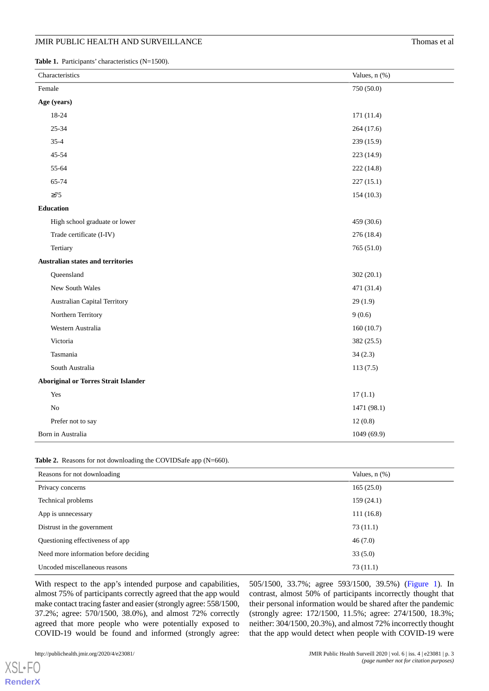<span id="page-2-0"></span>Table 1. Participants' characteristics (N=1500).

| Characteristics                             | Values, n (%) |
|---------------------------------------------|---------------|
| Female                                      | 750 (50.0)    |
| Age (years)                                 |               |
| 18-24                                       | 171 (11.4)    |
| $25 - 34$                                   | 264 (17.6)    |
| $35 - 4$                                    | 239 (15.9)    |
| 45-54                                       | 223 (14.9)    |
| 55-64                                       | 222 (14.8)    |
| 65-74                                       | 227(15.1)     |
| $\geq 75$                                   | 154(10.3)     |
| Education                                   |               |
| High school graduate or lower               | 459 (30.6)    |
| Trade certificate (I-IV)                    | 276 (18.4)    |
| Tertiary                                    | 765(51.0)     |
| <b>Australian states and territories</b>    |               |
| Queensland                                  | 302(20.1)     |
| New South Wales                             | 471 (31.4)    |
| Australian Capital Territory                | 29(1.9)       |
| Northern Territory                          | 9(0.6)        |
| Western Australia                           | 160(10.7)     |
| Victoria                                    | 382 (25.5)    |
| Tasmania                                    | 34(2.3)       |
| South Australia                             | 113(7.5)      |
| <b>Aboriginal or Torres Strait Islander</b> |               |
| Yes                                         | 17(1.1)       |
| $\rm No$                                    | 1471 (98.1)   |
| Prefer not to say                           | 12(0.8)       |
| Born in Australia                           | 1049 (69.9)   |

#### <span id="page-2-1"></span>**Table 2.** Reasons for not downloading the COVIDSafe app (N=660).

| Reasons for not downloading           | Values, $n$ $(\%)$ |
|---------------------------------------|--------------------|
| Privacy concerns                      | 165(25.0)          |
| Technical problems                    | 159(24.1)          |
| App is unnecessary                    | 111(16.8)          |
| Distrust in the government            | 73(11.1)           |
| Questioning effectiveness of app      | 46(7.0)            |
| Need more information before deciding | 33(5.0)            |
| Uncoded miscellaneous reasons         | 73(11.1)           |

With respect to the app's intended purpose and capabilities, almost 75% of participants correctly agreed that the app would make contact tracing faster and easier (strongly agree: 558/1500, 37.2%; agree: 570/1500, 38.0%), and almost 72% correctly agreed that more people who were potentially exposed to COVID-19 would be found and informed (strongly agree:

[XSL](http://www.w3.org/Style/XSL)•FO **[RenderX](http://www.renderx.com/)** 505/1500, 33.7%; agree 593/1500, 39.5%) ([Figure 1\)](#page-3-0). In contrast, almost 50% of participants incorrectly thought that their personal information would be shared after the pandemic (strongly agree: 172/1500, 11.5%; agree: 274/1500, 18.3%; neither: 304/1500, 20.3%), and almost 72% incorrectly thought that the app would detect when people with COVID-19 were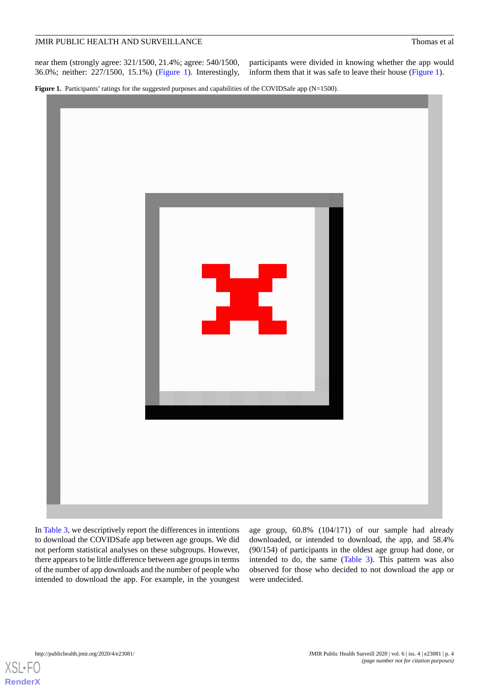near them (strongly agree: 321/1500, 21.4%; agree: 540/1500, 36.0%; neither: 227/1500, 15.1%) [\(Figure 1\)](#page-3-0). Interestingly,

participants were divided in knowing whether the app would inform them that it was safe to leave their house ([Figure 1](#page-3-0)).

<span id="page-3-0"></span>Figure 1. Participants' ratings for the suggested purposes and capabilities of the COVIDSafe app (N=1500).



In [Table 3](#page-4-0), we descriptively report the differences in intentions to download the COVIDSafe app between age groups. We did not perform statistical analyses on these subgroups. However, there appears to be little difference between age groups in terms of the number of app downloads and the number of people who intended to download the app. For example, in the youngest age group, 60.8% (104/171) of our sample had already downloaded, or intended to download, the app, and 58.4% (90/154) of participants in the oldest age group had done, or intended to do, the same ([Table 3](#page-4-0)). This pattern was also observed for those who decided to not download the app or were undecided.



[XSL](http://www.w3.org/Style/XSL)•FO **[RenderX](http://www.renderx.com/)**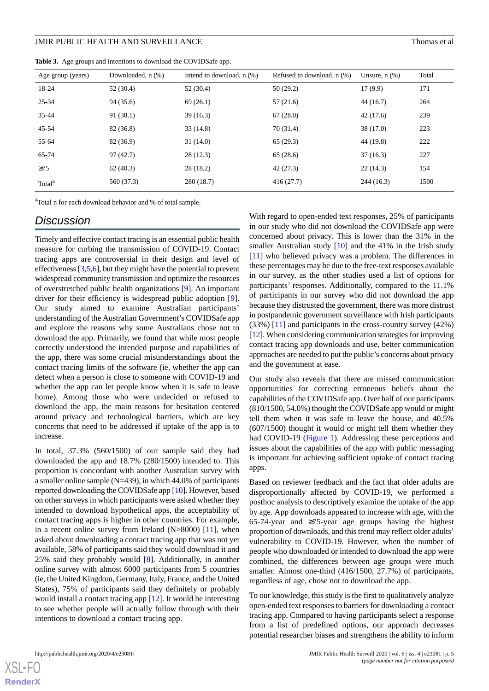<span id="page-4-0"></span>**Table 3.** Age groups and intentions to download the COVIDSafe app.

| 18-24              | 52 (30.4)  | 52 (30.4)  | 50(29.2)  | 17(9.9)   | 171  |
|--------------------|------------|------------|-----------|-----------|------|
| $25 - 34$          | 94 (35.6)  | 69(26.1)   | 57(21.6)  | 44 (16.7) | 264  |
| $35 - 44$          | 91(38.1)   | 39(16.3)   | 67(28.0)  | 42(17.6)  | 239  |
| 45-54              | 82 (36.8)  | 33(14.8)   | 70 (31.4) | 38 (17.0) | 223  |
| 55-64              | 82 (36.9)  | 31(14.0)   | 65(29.3)  | 44 (19.8) | 222  |
| 65-74              | 97(42.7)   | 28(12.3)   | 65(28.6)  | 37(16.3)  | 227  |
| $\geq$ 75          | 62(40.3)   | 28 (18.2)  | 42(27.3)  | 22(14.3)  | 154  |
| Total <sup>a</sup> | 560 (37.3) | 280 (18.7) | 416(27.7) | 244(16.3) | 1500 |

<sup>a</sup>Total n for each download behavior and % of total sample.

## *Discussion*

Timely and effective contact tracing is an essential public health measure for curbing the transmission of COVID-19. Contact tracing apps are controversial in their design and level of effectiveness [\[3](#page-5-2)[,5](#page-5-4),[6\]](#page-5-5), but they might have the potential to prevent widespread community transmission and optimize the resources of overstretched public health organizations [\[9](#page-5-9)]. An important driver for their efficiency is widespread public adoption [[9\]](#page-5-9). Our study aimed to examine Australian participants' understanding of the Australian Government's COVIDSafe app and explore the reasons why some Australians chose not to download the app. Primarily, we found that while most people correctly understood the intended purpose and capabilities of the app, there was some crucial misunderstandings about the contact tracing limits of the software (ie, whether the app can detect when a person is close to someone with COVID-19 and whether the app can let people know when it is safe to leave home). Among those who were undecided or refused to download the app, the main reasons for hesitation centered around privacy and technological barriers, which are key concerns that need to be addressed if uptake of the app is to increase.

In total, 37.3% (560/1500) of our sample said they had downloaded the app and 18.7% (280/1500) intended to. This proportion is concordant with another Australian survey with a smaller online sample (N=439), in which 44.0% of participants reported downloading the COVIDSafe app [[10\]](#page-5-10). However, based on other surveys in which participants were asked whether they intended to download hypothetical apps, the acceptability of contact tracing apps is higher in other countries. For example, in a recent online survey from Ireland  $(N>8000)$  [\[11](#page-5-11)], when asked about downloading a contact tracing app that was not yet available, 58% of participants said they would download it and 25% said they probably would [\[8](#page-5-7)]. Additionally, in another online survey with almost 6000 participants from 5 countries (ie, the United Kingdom, Germany, Italy, France, and the United States), 75% of participants said they definitely or probably would install a contact tracing app [\[12](#page-5-12)]. It would be interesting to see whether people will actually follow through with their intentions to download a contact tracing app.

With regard to open-ended text responses, 25% of participants in our study who did not download the COVIDSafe app were concerned about privacy. This is lower than the 31% in the smaller Australian study  $[10]$  $[10]$  and the 41% in the Irish study [[11\]](#page-5-11) who believed privacy was a problem. The differences in these percentages may be due to the free-text responses available in our survey, as the other studies used a list of options for participants' responses. Additionally, compared to the 11.1% of participants in our survey who did not download the app because they distrusted the government, there was more distrust in postpandemic government surveillance with Irish participants (33%) [\[11](#page-5-11)] and participants in the cross-country survey (42%) [[12\]](#page-5-12). When considering communication strategies for improving contact tracing app downloads and use, better communication approaches are needed to put the public's concerns about privacy and the government at ease.

Our study also reveals that there are missed communication opportunities for correcting erroneous beliefs about the capabilities of the COVIDSafe app. Over half of our participants (810/1500, 54.0%) thought the COVIDSafe app would or might tell them when it was safe to leave the house, and 40.5% (607/1500) thought it would or might tell them whether they had COVID-19 [\(Figure 1\)](#page-3-0). Addressing these perceptions and issues about the capabilities of the app with public messaging is important for achieving sufficient uptake of contact tracing apps.

Based on reviewer feedback and the fact that older adults are disproportionally affected by COVID-19, we performed a posthoc analysis to descriptively examine the uptake of the app by age. App downloads appeared to increase with age, with the 65-74-year and ≥75-year age groups having the highest proportion of downloads, and this trend may reflect older adults' vulnerability to COVID-19. However, when the number of people who downloaded or intended to download the app were combined, the differences between age groups were much smaller. Almost one-third (416/1500, 27.7%) of participants, regardless of age, chose not to download the app.

To our knowledge, this study is the first to qualitatively analyze open-ended text responses to barriers for downloading a contact tracing app. Compared to having participants select a response from a list of predefined options, our approach decreases potential researcher biases and strengthens the ability to inform

[XSL](http://www.w3.org/Style/XSL)•FO **[RenderX](http://www.renderx.com/)**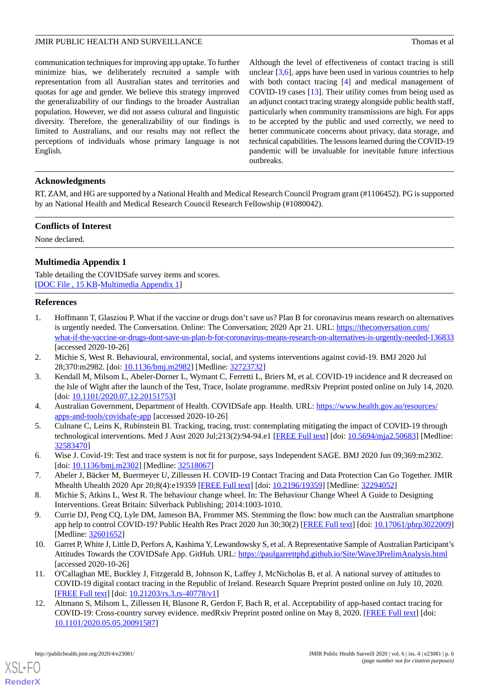communication techniques for improving app uptake. To further minimize bias, we deliberately recruited a sample with representation from all Australian states and territories and quotas for age and gender. We believe this strategy improved the generalizability of our findings to the broader Australian population. However, we did not assess cultural and linguistic diversity. Therefore, the generalizability of our findings is limited to Australians, and our results may not reflect the perceptions of individuals whose primary language is not English.

Although the level of effectiveness of contact tracing is still unclear  $[3,6]$  $[3,6]$  $[3,6]$  $[3,6]$ , apps have been used in various countries to help with both contact tracing [\[4](#page-5-3)] and medical management of COVID-19 cases [\[13](#page-6-0)]. Their utility comes from being used as an adjunct contact tracing strategy alongside public health staff, particularly when community transmissions are high. For apps to be accepted by the public and used correctly, we need to better communicate concerns about privacy, data storage, and technical capabilities. The lessons learned during the COVID-19 pandemic will be invaluable for inevitable future infectious outbreaks.

## **Acknowledgments**

RT, ZAM, and HG are supported by a National Health and Medical Research Council Program grant (#1106452). PG is supported by an National Health and Medical Research Council Research Fellowship (#1080042).

### **Conflicts of Interest**

<span id="page-5-8"></span>None declared.

## **Multimedia Appendix 1**

<span id="page-5-0"></span>Table detailing the COVIDSafe survey items and scores. [[DOC File , 15 KB-Multimedia Appendix 1](https://jmir.org/api/download?alt_name=publichealth_v6i4e23081_app1.DOC&filename=c0f19b2ae1651f21d896f63d53f19dd9.DOC)]

## **References**

- <span id="page-5-1"></span>1. Hoffmann T, Glasziou P. What if the vaccine or drugs don't save us? Plan B for coronavirus means research on alternatives is urgently needed. The Conversation. Online: The Conversation; 2020 Apr 21. URL: [https://theconversation.com/](https://theconversation.com/what-if-the-vaccine-or-drugs-dont-save-us-plan-b-for-coronavirus-means-research-on-alternatives-is-urgently-needed-136833) [what-if-the-vaccine-or-drugs-dont-save-us-plan-b-for-coronavirus-means-research-on-alternatives-is-urgently-needed-136833](https://theconversation.com/what-if-the-vaccine-or-drugs-dont-save-us-plan-b-for-coronavirus-means-research-on-alternatives-is-urgently-needed-136833) [accessed 2020-10-26]
- <span id="page-5-3"></span><span id="page-5-2"></span>2. Michie S, West R. Behavioural, environmental, social, and systems interventions against covid-19. BMJ 2020 Jul 28;370:m2982. [doi: [10.1136/bmj.m2982](http://dx.doi.org/10.1136/bmj.m2982)] [Medline: [32723732](http://www.ncbi.nlm.nih.gov/entrez/query.fcgi?cmd=Retrieve&db=PubMed&list_uids=32723732&dopt=Abstract)]
- <span id="page-5-4"></span>3. Kendall M, Milsom L, Abeler-Dorner L, Wymant C, Ferretti L, Briers M, et al. COVID-19 incidence and R decreased on the Isle of Wight after the launch of the Test, Trace, Isolate programme. medRxiv Preprint posted online on July 14, 2020. [doi: [10.1101/2020.07.12.20151753\]](http://dx.doi.org/10.1101/2020.07.12.20151753)
- <span id="page-5-5"></span>4. Australian Government, Department of Health. COVIDSafe app. Health. URL: [https://www.health.gov.au/resources/](https://www.health.gov.au/resources/apps-and-tools/covidsafe-app) [apps-and-tools/covidsafe-app](https://www.health.gov.au/resources/apps-and-tools/covidsafe-app) [accessed 2020-10-26]
- <span id="page-5-6"></span>5. Culnane C, Leins K, Rubinstein BI. Tracking, tracing, trust: contemplating mitigating the impact of COVID-19 through technological interventions. Med J Aust 2020 Jul;213(2):94-94.e1 [\[FREE Full text](http://europepmc.org/abstract/MED/32583470)] [doi: [10.5694/mja2.50683](http://dx.doi.org/10.5694/mja2.50683)] [Medline: [32583470](http://www.ncbi.nlm.nih.gov/entrez/query.fcgi?cmd=Retrieve&db=PubMed&list_uids=32583470&dopt=Abstract)]
- <span id="page-5-9"></span><span id="page-5-7"></span>6. Wise J. Covid-19: Test and trace system is not fit for purpose, says Independent SAGE. BMJ 2020 Jun 09;369:m2302. [doi: [10.1136/bmj.m2302](http://dx.doi.org/10.1136/bmj.m2302)] [Medline: [32518067\]](http://www.ncbi.nlm.nih.gov/entrez/query.fcgi?cmd=Retrieve&db=PubMed&list_uids=32518067&dopt=Abstract)
- 7. Abeler J, Bäcker M, Buermeyer U, Zillessen H. COVID-19 Contact Tracing and Data Protection Can Go Together. JMIR Mhealth Uhealth 2020 Apr 20;8(4):e19359 [[FREE Full text\]](https://mhealth.jmir.org/2020/4/e19359/) [doi: [10.2196/19359](http://dx.doi.org/10.2196/19359)] [Medline: [32294052](http://www.ncbi.nlm.nih.gov/entrez/query.fcgi?cmd=Retrieve&db=PubMed&list_uids=32294052&dopt=Abstract)]
- <span id="page-5-10"></span>8. Michie S, Atkins L, West R. The behaviour change wheel. In: The Behaviour Change Wheel A Guide to Designing Interventions. Great Britain: Silverback Publishing; 2014:1003-1010.
- <span id="page-5-11"></span>9. Currie DJ, Peng CQ, Lyle DM, Jameson BA, Frommer MS. Stemming the flow: how much can the Australian smartphone app help to control COVID-19? Public Health Res Pract 2020 Jun 30;30(2) [\[FREE Full text](https://doi.org/10.17061/phrp3022009)] [doi: [10.17061/phrp3022009](http://dx.doi.org/10.17061/phrp3022009)] [Medline: [32601652](http://www.ncbi.nlm.nih.gov/entrez/query.fcgi?cmd=Retrieve&db=PubMed&list_uids=32601652&dopt=Abstract)]
- <span id="page-5-12"></span>10. Garret P, White J, Little D, Perfors A, Kashima Y, Lewandowsky S, et al. A Representative Sample of Australian Participant's Attitudes Towards the COVIDSafe App. GitHub. URL:<https://paulgarrettphd.github.io/Site/Wave3PrelimAnalysis.html> [accessed 2020-10-26]
- 11. O'Callaghan ME, Buckley J, Fitzgerald B, Johnson K, Laffey J, McNicholas B, et al. A national survey of attitudes to COVID-19 digital contact tracing in the Republic of Ireland. Research Square Preprint posted online on July 10, 2020. [[FREE Full text](https://doi.org/10.21203/rs.3.rs-40778/v1)] [doi: [10.21203/rs.3.rs-40778/v1](http://dx.doi.org/10.21203/rs.3.rs-40778/v1)]
- 12. Altmann S, Milsom L, Zillessen H, Blasone R, Gerdon F, Bach R, et al. Acceptability of app-based contact tracing for COVID-19: Cross-country survey evidence. medRxiv Preprint posted online on May 8, 2020. [\[FREE Full text](https://doi.org/10.1101/2020.05.05.20091587)] [doi: [10.1101/2020.05.05.20091587](http://dx.doi.org/10.1101/2020.05.05.20091587)]

[XSL](http://www.w3.org/Style/XSL)•FO **[RenderX](http://www.renderx.com/)**